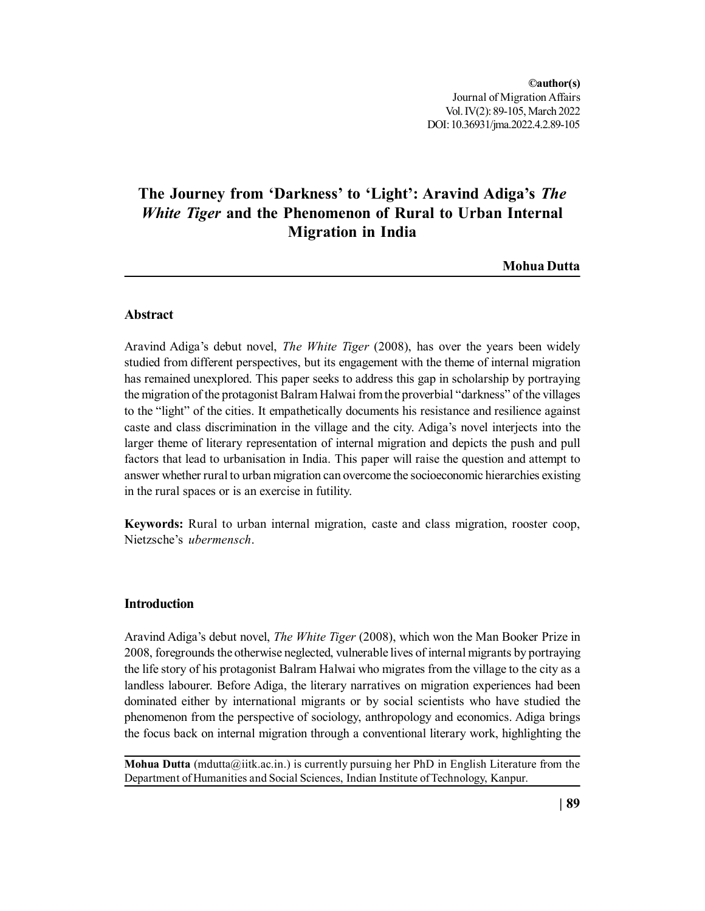# **The Journey from 'Darkness' to 'Light': Aravind Adiga's** *The White Tiger* **and the Phenomenon of Rural to Urban Internal Migration in India**

**Mohua Dutta**

# **Abstract**

Aravind Adiga's debut novel, *The White Tiger* (2008), has over the years been widely studied from different perspectives, but its engagement with the theme of internal migration has remained unexplored. This paper seeks to address this gap in scholarship by portraying the migration of the protagonist Balram Halwai from the proverbial "darkness" of the villages to the "light" of the cities. It empathetically documents his resistance and resilience against caste and class discrimination in the village and the city. Adiga's novel interjects into the larger theme of literary representation of internal migration and depicts the push and pull factors that lead to urbanisation in India. This paper will raise the question and attempt to answer whether rural to urban migration can overcome the socioeconomic hierarchies existing in the rural spaces or is an exercise in futility.

**Keywords:** Rural to urban internal migration, caste and class migration, rooster coop, Nietzsche's *ubermensch*.

## **Introduction**

Aravind Adiga's debut novel, *The White Tiger* (2008), which won the Man Booker Prize in 2008, foregrounds the otherwise neglected, vulnerable lives of internal migrants by portraying the life story of his protagonist Balram Halwai who migrates from the village to the city as a landless labourer. Before Adiga, the literary narratives on migration experiences had been dominated either by international migrants or by social scientists who have studied the phenomenon from the perspective of sociology, anthropology and economics. Adiga brings the focus back on internal migration through a conventional literary work, highlighting the

**Mohua Dutta** (mdutta@iitk.ac.in.) is currently pursuing her PhD in English Literature from the Department of Humanities and Social Sciences, Indian Institute of Technology, Kanpur.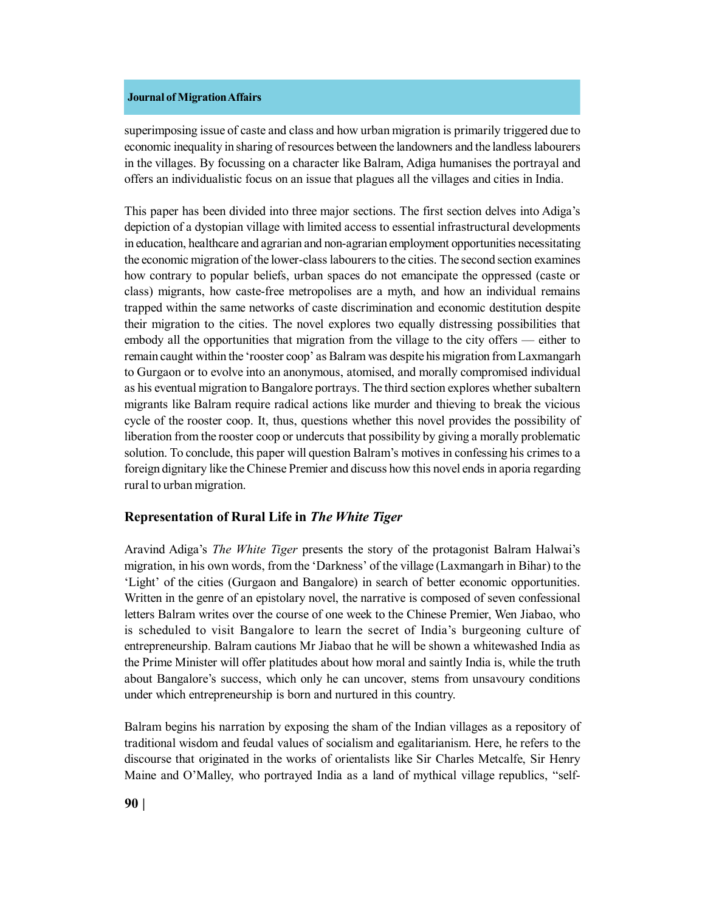superimposing issue of caste and class and how urban migration is primarily triggered due to economic inequality in sharing of resources between the landowners and the landless labourers in the villages. By focussing on a character like Balram, Adiga humanises the portrayal and offers an individualistic focus on an issue that plagues all the villages and cities in India.

This paper has been divided into three major sections. The first section delves into Adiga's depiction of a dystopian village with limited access to essential infrastructural developments in education, healthcare and agrarian and non-agrarian employment opportunities necessitating the economic migration of the lower-class labourers to the cities. The second section examines how contrary to popular beliefs, urban spaces do not emancipate the oppressed (caste or class) migrants, how caste-free metropolises are a myth, and how an individual remains trapped within the same networks of caste discrimination and economic destitution despite their migration to the cities. The novel explores two equally distressing possibilities that embody all the opportunities that migration from the village to the city offers — either to remain caught within the 'rooster coop' as Balram was despite his migration from Laxmangarh to Gurgaon or to evolve into an anonymous, atomised, and morally compromised individual as his eventual migration to Bangalore portrays. The third section explores whether subaltern migrants like Balram require radical actions like murder and thieving to break the vicious cycle of the rooster coop. It, thus, questions whether this novel provides the possibility of liberation from the rooster coop or undercuts that possibility by giving a morally problematic solution. To conclude, this paper will question Balram's motives in confessing his crimes to a foreign dignitary like the Chinese Premier and discuss how this novel ends in aporia regarding rural to urban migration.

## **Representation of Rural Life in** *The White Tiger*

Aravind Adiga's *The White Tiger* presents the story of the protagonist Balram Halwai's migration, in his own words, from the 'Darkness' of the village (Laxmangarh in Bihar) to the 'Light' of the cities (Gurgaon and Bangalore) in search of better economic opportunities. Written in the genre of an epistolary novel, the narrative is composed of seven confessional letters Balram writes over the course of one week to the Chinese Premier, Wen Jiabao, who is scheduled to visit Bangalore to learn the secret of India's burgeoning culture of entrepreneurship. Balram cautions Mr Jiabao that he will be shown a whitewashed India as the Prime Minister will offer platitudes about how moral and saintly India is, while the truth about Bangalore's success, which only he can uncover, stems from unsavoury conditions under which entrepreneurship is born and nurtured in this country.

Balram begins his narration by exposing the sham of the Indian villages as a repository of traditional wisdom and feudal values of socialism and egalitarianism. Here, he refers to the discourse that originated in the works of orientalists like Sir Charles Metcalfe, Sir Henry Maine and O'Malley, who portrayed India as a land of mythical village republics, "self-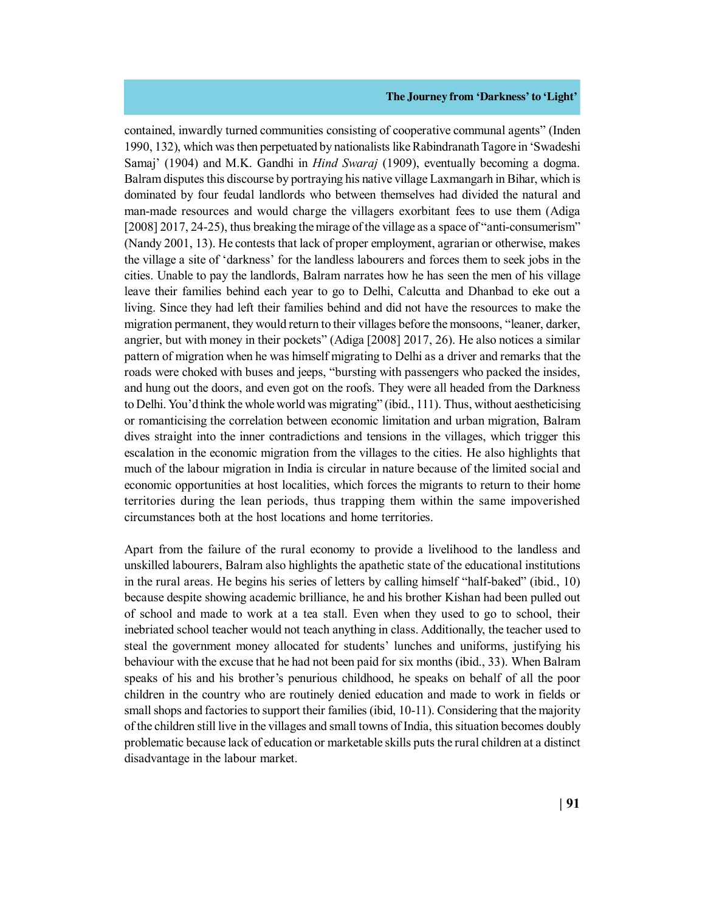contained, inwardly turned communities consisting of cooperative communal agents" (Inden 1990, 132), which was then perpetuated by nationalists like Rabindranath Tagore in 'Swadeshi Samaj' (1904) and M.K. Gandhi in *Hind Swaraj* (1909), eventually becoming a dogma. Balram disputes this discourse by portraying his native village Laxmangarh in Bihar, which is dominated by four feudal landlords who between themselves had divided the natural and man-made resources and would charge the villagers exorbitant fees to use them (Adiga [2008] 2017, 24-25), thus breaking the mirage of the village as a space of "anti-consumerism" (Nandy 2001, 13). He contests that lack of proper employment, agrarian or otherwise, makes the village a site of 'darkness' for the landless labourers and forces them to seek jobs in the cities. Unable to pay the landlords, Balram narrates how he has seen the men of his village leave their families behind each year to go to Delhi, Calcutta and Dhanbad to eke out a living. Since they had left their families behind and did not have the resources to make the migration permanent, they would return to their villages before the monsoons, "leaner, darker, angrier, but with money in their pockets" (Adiga [2008] 2017, 26). He also notices a similar pattern of migration when he was himself migrating to Delhi as a driver and remarks that the roads were choked with buses and jeeps, "bursting with passengers who packed the insides, and hung out the doors, and even got on the roofs. They were all headed from the Darkness to Delhi. You'd think the whole world was migrating" (ibid., 111). Thus, without aestheticising or romanticising the correlation between economic limitation and urban migration, Balram dives straight into the inner contradictions and tensions in the villages, which trigger this escalation in the economic migration from the villages to the cities. He also highlights that much of the labour migration in India is circular in nature because of the limited social and economic opportunities at host localities, which forces the migrants to return to their home territories during the lean periods, thus trapping them within the same impoverished circumstances both at the host locations and home territories.

Apart from the failure of the rural economy to provide a livelihood to the landless and unskilled labourers, Balram also highlights the apathetic state of the educational institutions in the rural areas. He begins his series of letters by calling himself "half-baked" (ibid., 10) because despite showing academic brilliance, he and his brother Kishan had been pulled out of school and made to work at a tea stall. Even when they used to go to school, their inebriated school teacher would not teach anything in class. Additionally, the teacher used to steal the government money allocated for students' lunches and uniforms, justifying his behaviour with the excuse that he had not been paid for six months (ibid., 33). When Balram speaks of his and his brother's penurious childhood, he speaks on behalf of all the poor children in the country who are routinely denied education and made to work in fields or small shops and factories to support their families (ibid, 10-11). Considering that the majority of the children still live in the villages and small towns of India, this situation becomes doubly problematic because lack of education or marketable skills puts the rural children at a distinct disadvantage in the labour market.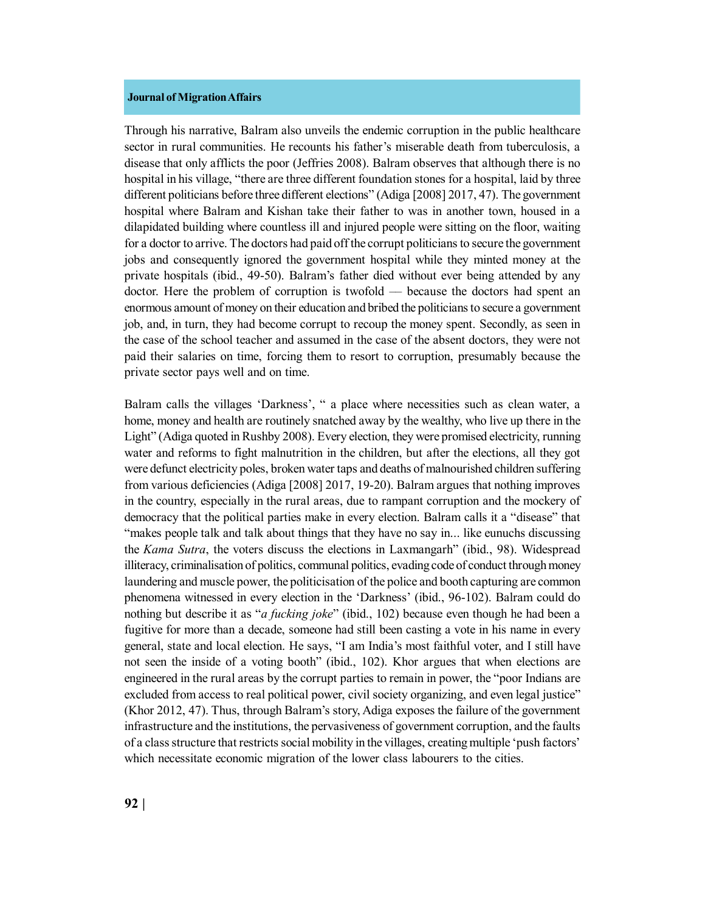Through his narrative, Balram also unveils the endemic corruption in the public healthcare sector in rural communities. He recounts his father's miserable death from tuberculosis, a disease that only afflicts the poor (Jeffries 2008). Balram observes that although there is no hospital in his village, "there are three different foundation stones for a hospital, laid by three different politicians before three different elections" (Adiga [2008] 2017, 47). The government hospital where Balram and Kishan take their father to was in another town, housed in a dilapidated building where countless ill and injured people were sitting on the floor, waiting for a doctor to arrive. The doctors had paid off the corrupt politicians to secure the government jobs and consequently ignored the government hospital while they minted money at the private hospitals (ibid., 49-50). Balram's father died without ever being attended by any doctor. Here the problem of corruption is twofold –– because the doctors had spent an enormous amount of money on their education and bribed the politicians to secure a government job, and, in turn, they had become corrupt to recoup the money spent. Secondly, as seen in the case of the school teacher and assumed in the case of the absent doctors, they were not paid their salaries on time, forcing them to resort to corruption, presumably because the private sector pays well and on time.

Balram calls the villages 'Darkness', " a place where necessities such as clean water, a home, money and health are routinely snatched away by the wealthy, who live up there in the Light" (Adiga quoted in Rushby 2008). Every election, they were promised electricity, running water and reforms to fight malnutrition in the children, but after the elections, all they got were defunct electricity poles, broken water taps and deaths of malnourished children suffering from various deficiencies (Adiga [2008] 2017, 19-20). Balram argues that nothing improves in the country, especially in the rural areas, due to rampant corruption and the mockery of democracy that the political parties make in every election. Balram calls it a "disease" that "makes people talk and talk about things that they have no say in... like eunuchs discussing the *Kama Sutra*, the voters discuss the elections in Laxmangarh" (ibid., 98). Widespread illiteracy, criminalisation of politics, communal politics, evading code of conduct through money laundering and muscle power, the politicisation of the police and booth capturing are common phenomena witnessed in every election in the 'Darkness' (ibid., 96-102). Balram could do nothing but describe it as "*a fucking joke*" (ibid., 102) because even though he had been a fugitive for more than a decade, someone had still been casting a vote in his name in every general, state and local election. He says, "I am India's most faithful voter, and I still have not seen the inside of a voting booth" (ibid., 102). Khor argues that when elections are engineered in the rural areas by the corrupt parties to remain in power, the "poor Indians are excluded from access to real political power, civil society organizing, and even legal justice" (Khor 2012, 47). Thus, through Balram's story, Adiga exposes the failure of the government infrastructure and the institutions, the pervasiveness of government corruption, and the faults of a class structure that restricts social mobility in the villages, creating multiple 'push factors' which necessitate economic migration of the lower class labourers to the cities.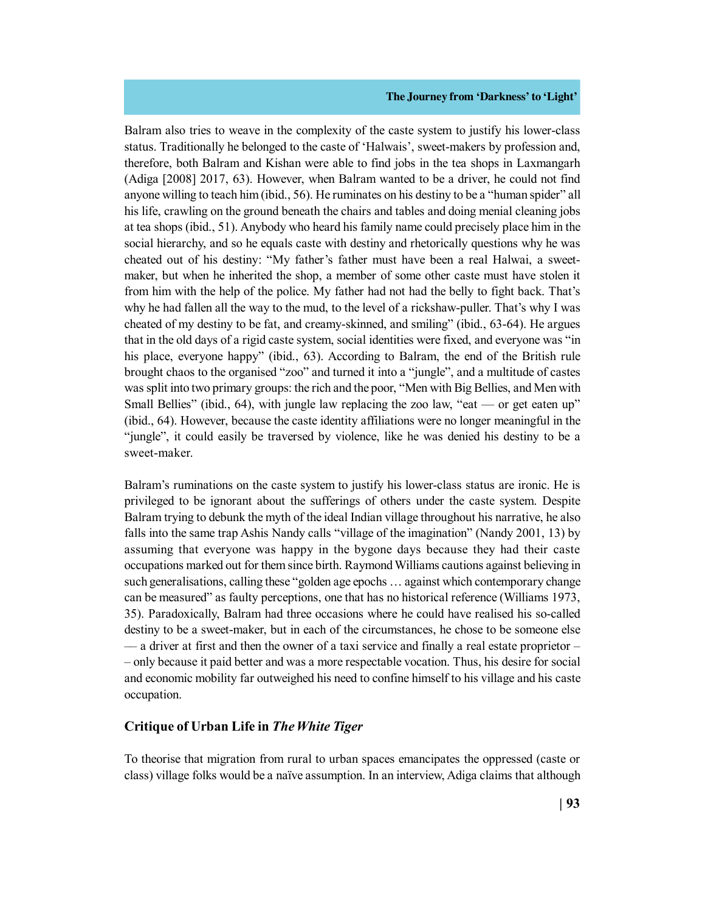Balram also tries to weave in the complexity of the caste system to justify his lower-class status. Traditionally he belonged to the caste of 'Halwais', sweet-makers by profession and, therefore, both Balram and Kishan were able to find jobs in the tea shops in Laxmangarh (Adiga [2008] 2017, 63). However, when Balram wanted to be a driver, he could not find anyone willing to teach him (ibid., 56). He ruminates on his destiny to be a "human spider" all his life, crawling on the ground beneath the chairs and tables and doing menial cleaning jobs at tea shops (ibid., 51). Anybody who heard his family name could precisely place him in the social hierarchy, and so he equals caste with destiny and rhetorically questions why he was cheated out of his destiny: "My father's father must have been a real Halwai, a sweetmaker, but when he inherited the shop, a member of some other caste must have stolen it from him with the help of the police. My father had not had the belly to fight back. That's why he had fallen all the way to the mud, to the level of a rickshaw-puller. That's why I was cheated of my destiny to be fat, and creamy-skinned, and smiling" (ibid., 63-64). He argues that in the old days of a rigid caste system, social identities were fixed, and everyone was "in his place, everyone happy" (ibid., 63). According to Balram, the end of the British rule brought chaos to the organised "zoo" and turned it into a "jungle", and a multitude of castes was split into two primary groups: the rich and the poor, "Men with Big Bellies, and Men with Small Bellies" (ibid., 64), with jungle law replacing the zoo law, "eat — or get eaten up" (ibid., 64). However, because the caste identity affiliations were no longer meaningful in the "jungle", it could easily be traversed by violence, like he was denied his destiny to be a sweet-maker.

Balram's ruminations on the caste system to justify his lower-class status are ironic. He is privileged to be ignorant about the sufferings of others under the caste system. Despite Balram trying to debunk the myth of the ideal Indian village throughout his narrative, he also falls into the same trap Ashis Nandy calls "village of the imagination" (Nandy 2001, 13) by assuming that everyone was happy in the bygone days because they had their caste occupations marked out for them since birth. Raymond Williams cautions against believing in such generalisations, calling these "golden age epochs … against which contemporary change can be measured" as faulty perceptions, one that has no historical reference (Williams 1973, 35). Paradoxically, Balram had three occasions where he could have realised his so-called destiny to be a sweet-maker, but in each of the circumstances, he chose to be someone else –– a driver at first and then the owner of a taxi service and finally a real estate proprietor – – only because it paid better and was a more respectable vocation. Thus, his desire for social and economic mobility far outweighed his need to confine himself to his village and his caste occupation.

## **Critique of Urban Life in** *The White Tiger*

To theorise that migration from rural to urban spaces emancipates the oppressed (caste or class) village folks would be a naïve assumption. In an interview, Adiga claims that although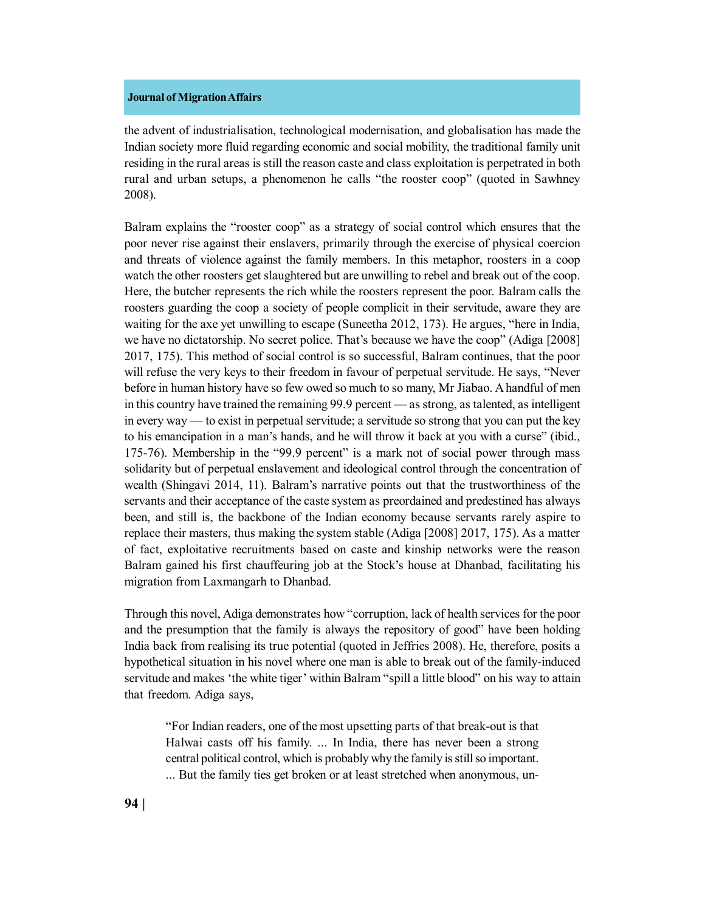the advent of industrialisation, technological modernisation, and globalisation has made the Indian society more fluid regarding economic and social mobility, the traditional family unit residing in the rural areas is still the reason caste and class exploitation is perpetrated in both rural and urban setups, a phenomenon he calls "the rooster coop" (quoted in Sawhney 2008).

Balram explains the "rooster coop" as a strategy of social control which ensures that the poor never rise against their enslavers, primarily through the exercise of physical coercion and threats of violence against the family members. In this metaphor, roosters in a coop watch the other roosters get slaughtered but are unwilling to rebel and break out of the coop. Here, the butcher represents the rich while the roosters represent the poor. Balram calls the roosters guarding the coop a society of people complicit in their servitude, aware they are waiting for the axe yet unwilling to escape (Suneetha 2012, 173). He argues, "here in India, we have no dictatorship. No secret police. That's because we have the coop" (Adiga [2008] 2017, 175). This method of social control is so successful, Balram continues, that the poor will refuse the very keys to their freedom in favour of perpetual servitude. He says, "Never before in human history have so few owed so much to so many, Mr Jiabao. A handful of men in this country have trained the remaining 99.9 percent — as strong, as talented, as intelligent in every way — to exist in perpetual servitude; a servitude so strong that you can put the key to his emancipation in a man's hands, and he will throw it back at you with a curse" (ibid., 175-76). Membership in the "99.9 percent" is a mark not of social power through mass solidarity but of perpetual enslavement and ideological control through the concentration of wealth (Shingavi 2014, 11). Balram's narrative points out that the trustworthiness of the servants and their acceptance of the caste system as preordained and predestined has always been, and still is, the backbone of the Indian economy because servants rarely aspire to replace their masters, thus making the system stable (Adiga [2008] 2017, 175). As a matter of fact, exploitative recruitments based on caste and kinship networks were the reason Balram gained his first chauffeuring job at the Stock's house at Dhanbad, facilitating his migration from Laxmangarh to Dhanbad.

Through this novel, Adiga demonstrates how "corruption, lack of health services for the poor and the presumption that the family is always the repository of good" have been holding India back from realising its true potential (quoted in Jeffries 2008). He, therefore, posits a hypothetical situation in his novel where one man is able to break out of the family-induced servitude and makes 'the white tiger' within Balram "spill a little blood" on his way to attain that freedom. Adiga says,

"For Indian readers, one of the most upsetting parts of that break-out is that Halwai casts off his family. ... In India, there has never been a strong central political control, which is probably why the family is still so important. ... But the family ties get broken or at least stretched when anonymous, un-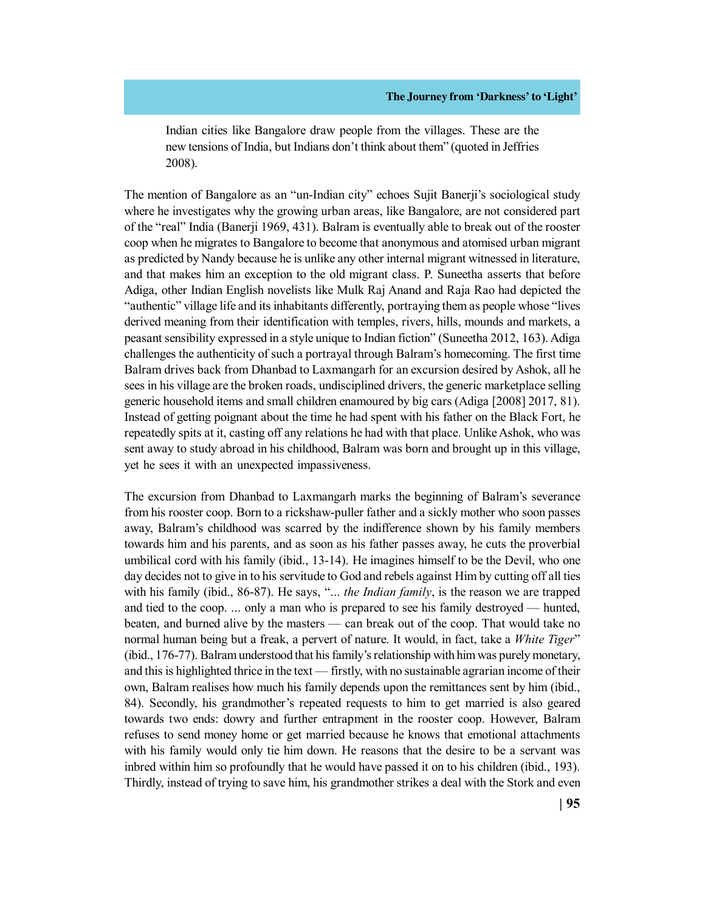Indian cities like Bangalore draw people from the villages. These are the new tensions of India, but Indians don't think about them" (quoted in Jeffries 2008).

The mention of Bangalore as an "un-Indian city" echoes Sujit Banerji's sociological study where he investigates why the growing urban areas, like Bangalore, are not considered part of the "real" India (Banerji 1969, 431). Balram is eventually able to break out of the rooster coop when he migrates to Bangalore to become that anonymous and atomised urban migrant as predicted by Nandy because he is unlike any other internal migrant witnessed in literature, and that makes him an exception to the old migrant class. P. Suneetha asserts that before Adiga, other Indian English novelists like Mulk Raj Anand and Raja Rao had depicted the "authentic" village life and its inhabitants differently, portraying them as people whose "lives derived meaning from their identification with temples, rivers, hills, mounds and markets, a peasant sensibility expressed in a style unique to Indian fiction" (Suneetha 2012, 163). Adiga challenges the authenticity of such a portrayal through Balram's homecoming. The first time Balram drives back from Dhanbad to Laxmangarh for an excursion desired by Ashok, all he sees in his village are the broken roads, undisciplined drivers, the generic marketplace selling generic household items and small children enamoured by big cars (Adiga [2008] 2017, 81). Instead of getting poignant about the time he had spent with his father on the Black Fort, he repeatedly spits at it, casting off any relations he had with that place. Unlike Ashok, who was sent away to study abroad in his childhood, Balram was born and brought up in this village, yet he sees it with an unexpected impassiveness.

The excursion from Dhanbad to Laxmangarh marks the beginning of Balram's severance from his rooster coop. Born to a rickshaw-puller father and a sickly mother who soon passes away, Balram's childhood was scarred by the indifference shown by his family members towards him and his parents, and as soon as his father passes away, he cuts the proverbial umbilical cord with his family (ibid., 13-14). He imagines himself to be the Devil, who one day decides not to give in to his servitude to God and rebels against Him by cutting off all ties with his family (ibid., 86-87). He says, "... *the Indian family*, is the reason we are trapped and tied to the coop. ... only a man who is prepared to see his family destroyed — hunted, beaten, and burned alive by the masters — can break out of the coop. That would take no normal human being but a freak, a pervert of nature. It would, in fact, take a *White Tiger*" (ibid., 176-77). Balram understood that his family's relationship with him was purely monetary, and this is highlighted thrice in the text –– firstly, with no sustainable agrarian income of their own, Balram realises how much his family depends upon the remittances sent by him (ibid., 84). Secondly, his grandmother's repeated requests to him to get married is also geared towards two ends: dowry and further entrapment in the rooster coop. However, Balram refuses to send money home or get married because he knows that emotional attachments with his family would only tie him down. He reasons that the desire to be a servant was inbred within him so profoundly that he would have passed it on to his children (ibid., 193). Thirdly, instead of trying to save him, his grandmother strikes a deal with the Stork and even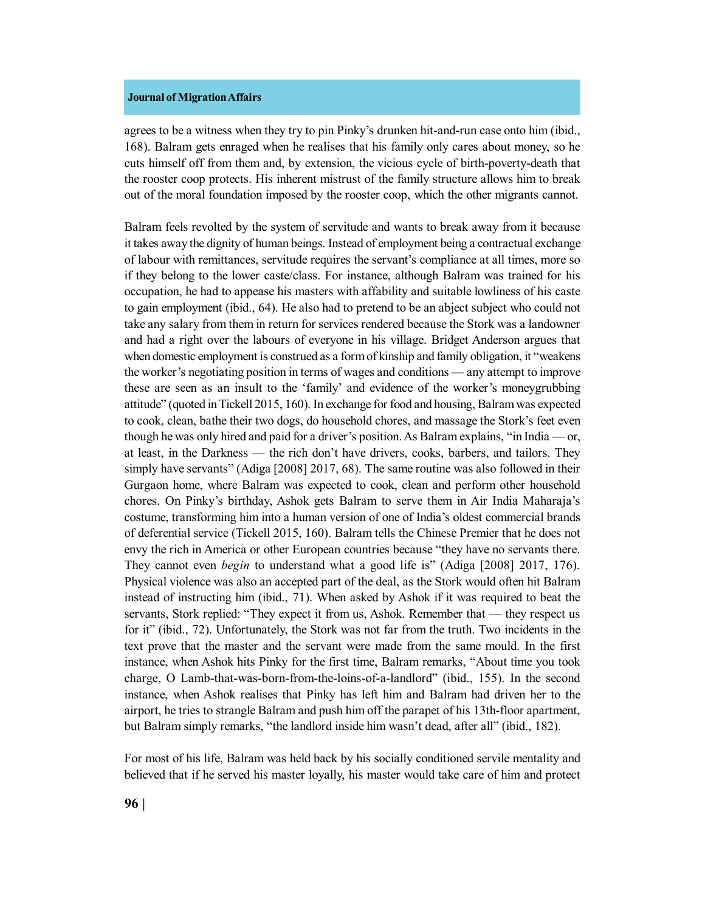agrees to be a witness when they try to pin Pinky's drunken hit-and-run case onto him (ibid., 168). Balram gets enraged when he realises that his family only cares about money, so he cuts himself off from them and, by extension, the vicious cycle of birth-poverty-death that the rooster coop protects. His inherent mistrust of the family structure allows him to break out of the moral foundation imposed by the rooster coop, which the other migrants cannot.

Balram feels revolted by the system of servitude and wants to break away from it because it takes away the dignity of human beings. Instead of employment being a contractual exchange of labour with remittances, servitude requires the servant's compliance at all times, more so if they belong to the lower caste/class. For instance, although Balram was trained for his occupation, he had to appease his masters with affability and suitable lowliness of his caste to gain employment (ibid., 64). He also had to pretend to be an abject subject who could not take any salary from them in return for services rendered because the Stork was a landowner and had a right over the labours of everyone in his village. Bridget Anderson argues that when domestic employment is construed as a form of kinship and family obligation, it "weakens the worker's negotiating position in terms of wages and conditions — any attempt to improve these are seen as an insult to the 'family' and evidence of the worker's moneygrubbing attitude" (quoted in Tickell 2015, 160). In exchange for food and housing, Balram was expected to cook, clean, bathe their two dogs, do household chores, and massage the Stork's feet even though he was only hired and paid for a driver's position. As Balram explains, "in India — or, at least, in the Darkness — the rich don't have drivers, cooks, barbers, and tailors. They simply have servants" (Adiga [2008] 2017, 68). The same routine was also followed in their Gurgaon home, where Balram was expected to cook, clean and perform other household chores. On Pinky's birthday, Ashok gets Balram to serve them in Air India Maharaja's costume, transforming him into a human version of one of India's oldest commercial brands of deferential service (Tickell 2015, 160). Balram tells the Chinese Premier that he does not envy the rich in America or other European countries because "they have no servants there. They cannot even *begin* to understand what a good life is" (Adiga [2008] 2017, 176). Physical violence was also an accepted part of the deal, as the Stork would often hit Balram instead of instructing him (ibid., 71). When asked by Ashok if it was required to beat the servants, Stork replied: "They expect it from us, Ashok. Remember that — they respect us for it" (ibid., 72). Unfortunately, the Stork was not far from the truth. Two incidents in the text prove that the master and the servant were made from the same mould. In the first instance, when Ashok hits Pinky for the first time, Balram remarks, "About time you took charge, O Lamb-that-was-born-from-the-loins-of-a-landlord" (ibid., 155). In the second instance, when Ashok realises that Pinky has left him and Balram had driven her to the airport, he tries to strangle Balram and push him off the parapet of his 13th-floor apartment, but Balram simply remarks, "the landlord inside him wasn't dead, after all" (ibid., 182).

For most of his life, Balram was held back by his socially conditioned servile mentality and believed that if he served his master loyally, his master would take care of him and protect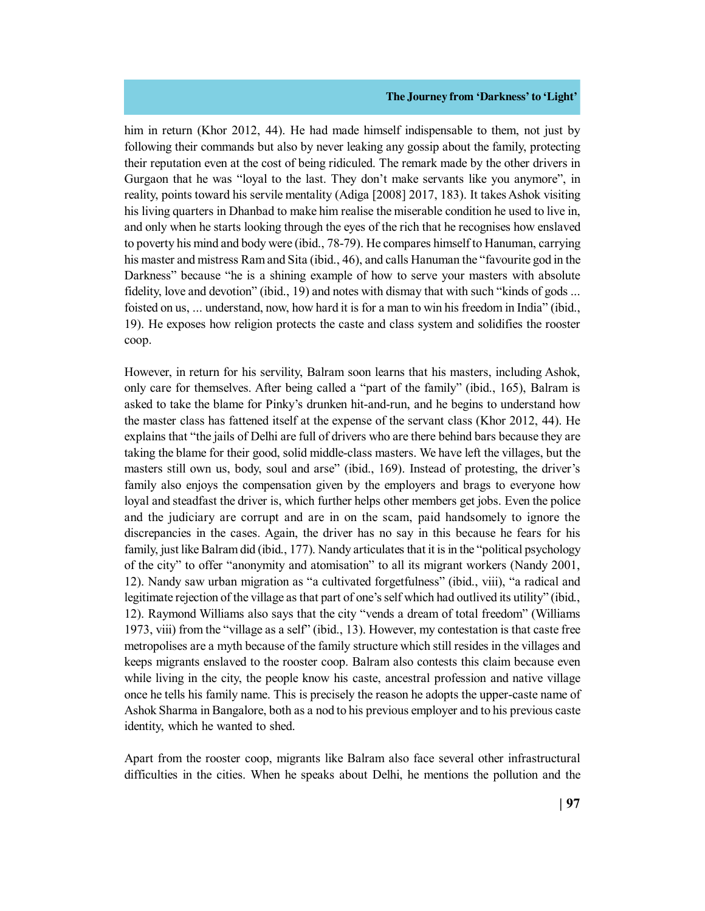him in return (Khor 2012, 44). He had made himself indispensable to them, not just by following their commands but also by never leaking any gossip about the family, protecting their reputation even at the cost of being ridiculed. The remark made by the other drivers in Gurgaon that he was "loyal to the last. They don't make servants like you anymore", in reality, points toward his servile mentality (Adiga [2008] 2017, 183). It takes Ashok visiting his living quarters in Dhanbad to make him realise the miserable condition he used to live in, and only when he starts looking through the eyes of the rich that he recognises how enslaved to poverty his mind and body were (ibid., 78-79). He compares himself to Hanuman, carrying his master and mistress Ram and Sita (ibid., 46), and calls Hanuman the "favourite god in the Darkness" because "he is a shining example of how to serve your masters with absolute fidelity, love and devotion" (ibid., 19) and notes with dismay that with such "kinds of gods ... foisted on us, ... understand, now, how hard it is for a man to win his freedom in India" (ibid., 19). He exposes how religion protects the caste and class system and solidifies the rooster coop.

However, in return for his servility, Balram soon learns that his masters, including Ashok, only care for themselves. After being called a "part of the family" (ibid., 165), Balram is asked to take the blame for Pinky's drunken hit-and-run, and he begins to understand how the master class has fattened itself at the expense of the servant class (Khor 2012, 44). He explains that "the jails of Delhi are full of drivers who are there behind bars because they are taking the blame for their good, solid middle-class masters. We have left the villages, but the masters still own us, body, soul and arse" (ibid., 169). Instead of protesting, the driver's family also enjoys the compensation given by the employers and brags to everyone how loyal and steadfast the driver is, which further helps other members get jobs. Even the police and the judiciary are corrupt and are in on the scam, paid handsomely to ignore the discrepancies in the cases. Again, the driver has no say in this because he fears for his family, just like Balram did (ibid., 177). Nandy articulates that it is in the "political psychology of the city" to offer "anonymity and atomisation" to all its migrant workers (Nandy 2001, 12). Nandy saw urban migration as "a cultivated forgetfulness" (ibid., viii), "a radical and legitimate rejection of the village as that part of one's self which had outlived its utility" (ibid., 12). Raymond Williams also says that the city "vends a dream of total freedom" (Williams 1973, viii) from the "village as a self" (ibid., 13). However, my contestation is that caste free metropolises are a myth because of the family structure which still resides in the villages and keeps migrants enslaved to the rooster coop. Balram also contests this claim because even while living in the city, the people know his caste, ancestral profession and native village once he tells his family name. This is precisely the reason he adopts the upper-caste name of Ashok Sharma in Bangalore, both as a nod to his previous employer and to his previous caste identity, which he wanted to shed.

Apart from the rooster coop, migrants like Balram also face several other infrastructural difficulties in the cities. When he speaks about Delhi, he mentions the pollution and the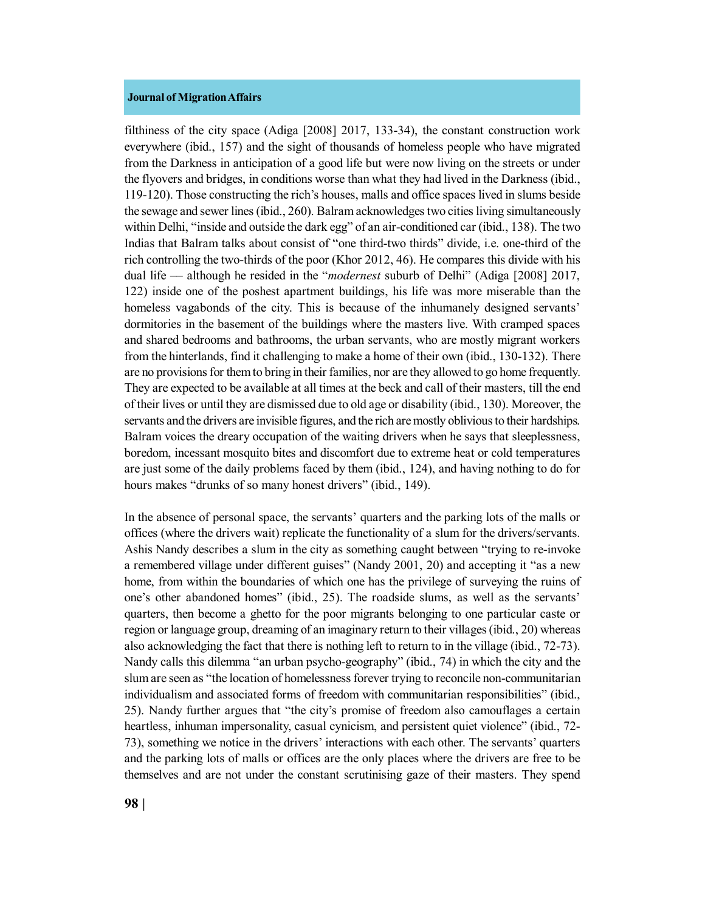filthiness of the city space (Adiga [2008] 2017, 133-34), the constant construction work everywhere (ibid., 157) and the sight of thousands of homeless people who have migrated from the Darkness in anticipation of a good life but were now living on the streets or under the flyovers and bridges, in conditions worse than what they had lived in the Darkness (ibid., 119-120). Those constructing the rich's houses, malls and office spaces lived in slums beside the sewage and sewer lines (ibid., 260). Balram acknowledges two cities living simultaneously within Delhi, "inside and outside the dark egg" of an air-conditioned car (ibid., 138). The two Indias that Balram talks about consist of "one third-two thirds" divide, i.e. one-third of the rich controlling the two-thirds of the poor (Khor 2012, 46). He compares this divide with his dual life –– although he resided in the "*modernest* suburb of Delhi" (Adiga [2008] 2017, 122) inside one of the poshest apartment buildings, his life was more miserable than the homeless vagabonds of the city. This is because of the inhumanely designed servants' dormitories in the basement of the buildings where the masters live. With cramped spaces and shared bedrooms and bathrooms, the urban servants, who are mostly migrant workers from the hinterlands, find it challenging to make a home of their own (ibid., 130-132). There are no provisions for them to bring in their families, nor are they allowed to go home frequently. They are expected to be available at all times at the beck and call of their masters, till the end of their lives or until they are dismissed due to old age or disability (ibid., 130). Moreover, the servants and the drivers are invisible figures, and the rich are mostly oblivious to their hardships. Balram voices the dreary occupation of the waiting drivers when he says that sleeplessness, boredom, incessant mosquito bites and discomfort due to extreme heat or cold temperatures are just some of the daily problems faced by them (ibid., 124), and having nothing to do for hours makes "drunks of so many honest drivers" (ibid., 149).

In the absence of personal space, the servants' quarters and the parking lots of the malls or offices (where the drivers wait) replicate the functionality of a slum for the drivers/servants. Ashis Nandy describes a slum in the city as something caught between "trying to re-invoke a remembered village under different guises" (Nandy 2001, 20) and accepting it "as a new home, from within the boundaries of which one has the privilege of surveying the ruins of one's other abandoned homes" (ibid., 25). The roadside slums, as well as the servants' quarters, then become a ghetto for the poor migrants belonging to one particular caste or region or language group, dreaming of an imaginary return to their villages (ibid., 20) whereas also acknowledging the fact that there is nothing left to return to in the village (ibid., 72-73). Nandy calls this dilemma "an urban psycho-geography" (ibid., 74) in which the city and the slum are seen as "the location of homelessness forever trying to reconcile non-communitarian individualism and associated forms of freedom with communitarian responsibilities" (ibid., 25). Nandy further argues that "the city's promise of freedom also camouflages a certain heartless, inhuman impersonality, casual cynicism, and persistent quiet violence" (ibid., 72-73), something we notice in the drivers' interactions with each other. The servants' quarters and the parking lots of malls or offices are the only places where the drivers are free to be themselves and are not under the constant scrutinising gaze of their masters. They spend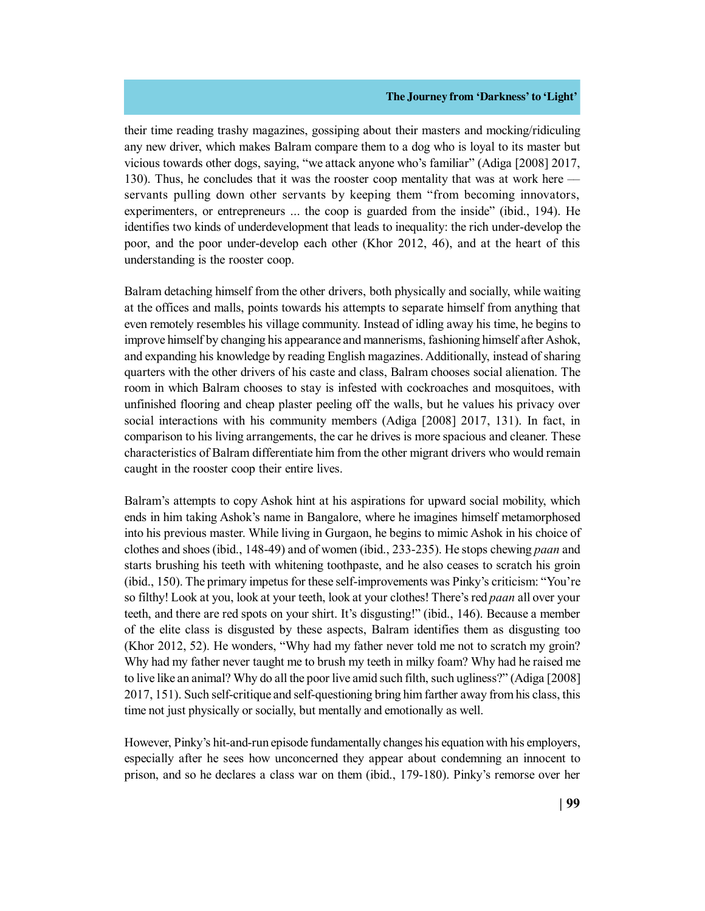their time reading trashy magazines, gossiping about their masters and mocking/ridiculing any new driver, which makes Balram compare them to a dog who is loyal to its master but vicious towards other dogs, saying, "we attack anyone who's familiar" (Adiga [2008] 2017, 130). Thus, he concludes that it was the rooster coop mentality that was at work here –– servants pulling down other servants by keeping them "from becoming innovators, experimenters, or entrepreneurs ... the coop is guarded from the inside" (ibid., 194). He identifies two kinds of underdevelopment that leads to inequality: the rich under-develop the poor, and the poor under-develop each other (Khor 2012, 46), and at the heart of this understanding is the rooster coop.

Balram detaching himself from the other drivers, both physically and socially, while waiting at the offices and malls, points towards his attempts to separate himself from anything that even remotely resembles his village community. Instead of idling away his time, he begins to improve himself by changing his appearance and mannerisms, fashioning himself after Ashok, and expanding his knowledge by reading English magazines. Additionally, instead of sharing quarters with the other drivers of his caste and class, Balram chooses social alienation. The room in which Balram chooses to stay is infested with cockroaches and mosquitoes, with unfinished flooring and cheap plaster peeling off the walls, but he values his privacy over social interactions with his community members (Adiga [2008] 2017, 131). In fact, in comparison to his living arrangements, the car he drives is more spacious and cleaner. These characteristics of Balram differentiate him from the other migrant drivers who would remain caught in the rooster coop their entire lives.

Balram's attempts to copy Ashok hint at his aspirations for upward social mobility, which ends in him taking Ashok's name in Bangalore, where he imagines himself metamorphosed into his previous master. While living in Gurgaon, he begins to mimic Ashok in his choice of clothes and shoes (ibid., 148-49) and of women (ibid., 233-235). He stops chewing *paan* and starts brushing his teeth with whitening toothpaste, and he also ceases to scratch his groin (ibid., 150). The primary impetus for these self-improvements was Pinky's criticism: "You're so filthy! Look at you, look at your teeth, look at your clothes! There's red *paan* all over your teeth, and there are red spots on your shirt. It's disgusting!" (ibid., 146). Because a member of the elite class is disgusted by these aspects, Balram identifies them as disgusting too (Khor 2012, 52). He wonders, "Why had my father never told me not to scratch my groin? Why had my father never taught me to brush my teeth in milky foam? Why had he raised me to live like an animal? Why do all the poor live amid such filth, such ugliness?" (Adiga [2008] 2017, 151). Such self-critique and self-questioning bring him farther away from his class, this time not just physically or socially, but mentally and emotionally as well.

However, Pinky's hit-and-run episode fundamentally changes his equation with his employers, especially after he sees how unconcerned they appear about condemning an innocent to prison, and so he declares a class war on them (ibid., 179-180). Pinky's remorse over her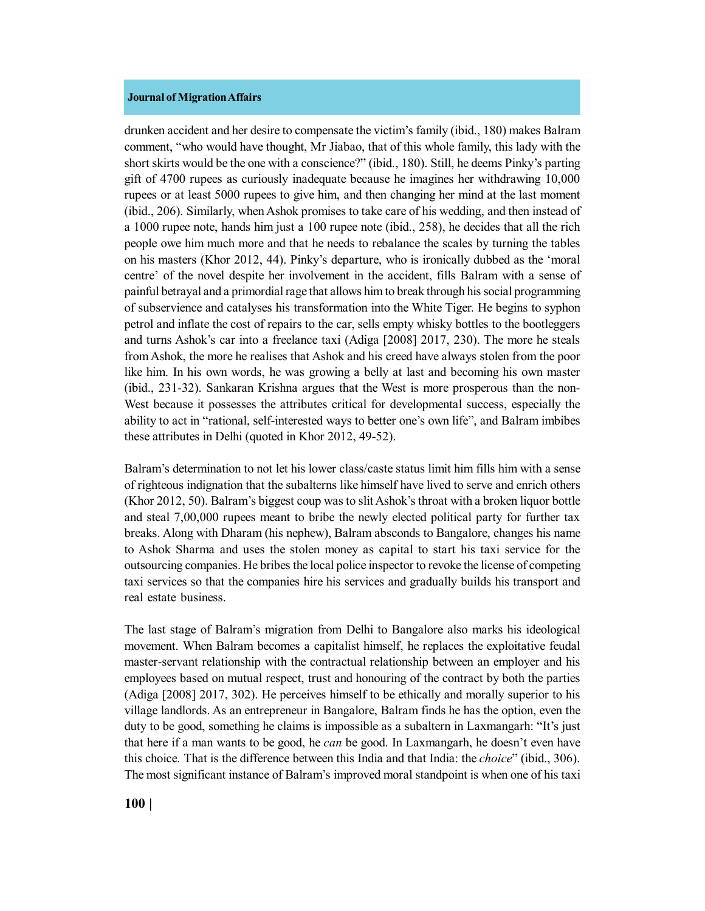drunken accident and her desire to compensate the victim's family (ibid., 180) makes Balram comment, "who would have thought, Mr Jiabao, that of this whole family, this lady with the short skirts would be the one with a conscience?" (ibid., 180). Still, he deems Pinky's parting gift of 4700 rupees as curiously inadequate because he imagines her withdrawing 10,000 rupees or at least 5000 rupees to give him, and then changing her mind at the last moment (ibid., 206). Similarly, when Ashok promises to take care of his wedding, and then instead of a 1000 rupee note, hands him just a 100 rupee note (ibid., 258), he decides that all the rich people owe him much more and that he needs to rebalance the scales by turning the tables on his masters (Khor 2012, 44). Pinky's departure, who is ironically dubbed as the 'moral centre' of the novel despite her involvement in the accident, fills Balram with a sense of painful betrayal and a primordial rage that allows him to break through his social programming of subservience and catalyses his transformation into the White Tiger. He begins to syphon petrol and inflate the cost of repairs to the car, sells empty whisky bottles to the bootleggers and turns Ashok's car into a freelance taxi (Adiga [2008] 2017, 230). The more he steals from Ashok, the more he realises that Ashok and his creed have always stolen from the poor like him. In his own words, he was growing a belly at last and becoming his own master (ibid., 231-32). Sankaran Krishna argues that the West is more prosperous than the non-West because it possesses the attributes critical for developmental success, especially the ability to act in "rational, self-interested ways to better one's own life", and Balram imbibes these attributes in Delhi (quoted in Khor 2012, 49-52).

Balram's determination to not let his lower class/caste status limit him fills him with a sense of righteous indignation that the subalterns like himself have lived to serve and enrich others (Khor 2012, 50). Balram's biggest coup was to slit Ashok's throat with a broken liquor bottle and steal 7,00,000 rupees meant to bribe the newly elected political party for further tax breaks. Along with Dharam (his nephew), Balram absconds to Bangalore, changes his name to Ashok Sharma and uses the stolen money as capital to start his taxi service for the outsourcing companies. He bribes the local police inspector to revoke the license of competing taxi services so that the companies hire his services and gradually builds his transport and real estate business.

The last stage of Balram's migration from Delhi to Bangalore also marks his ideological movement. When Balram becomes a capitalist himself, he replaces the exploitative feudal master-servant relationship with the contractual relationship between an employer and his employees based on mutual respect, trust and honouring of the contract by both the parties (Adiga [2008] 2017, 302). He perceives himself to be ethically and morally superior to his village landlords. As an entrepreneur in Bangalore, Balram finds he has the option, even the duty to be good, something he claims is impossible as a subaltern in Laxmangarh: "It's just that here if a man wants to be good, he *can* be good. In Laxmangarh, he doesn't even have this choice. That is the difference between this India and that India: the *choice*" (ibid., 306). The most significant instance of Balram's improved moral standpoint is when one of his taxi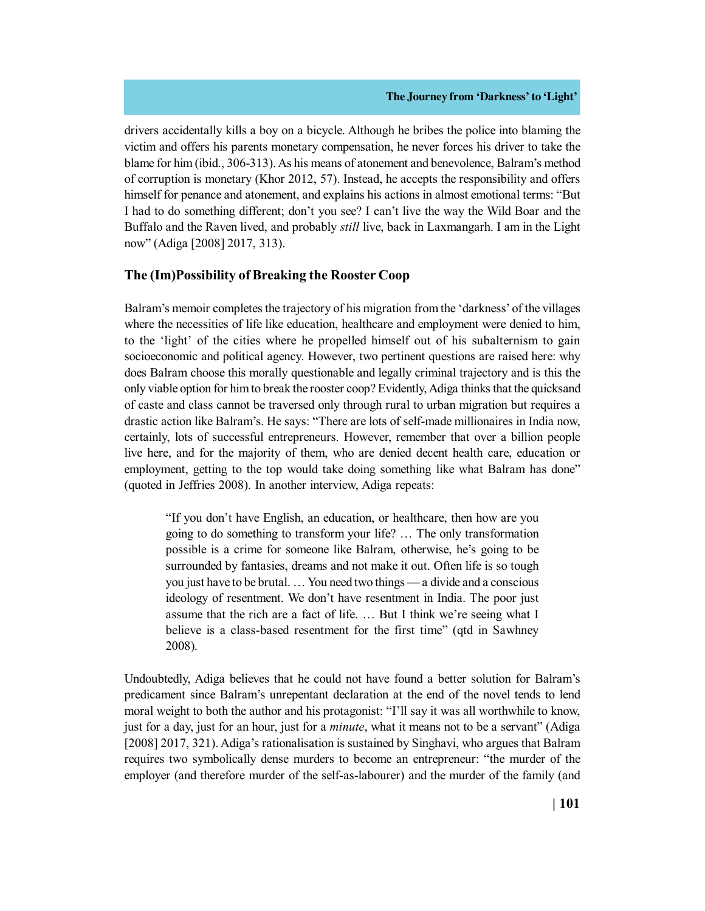drivers accidentally kills a boy on a bicycle. Although he bribes the police into blaming the victim and offers his parents monetary compensation, he never forces his driver to take the blame for him (ibid., 306-313). As his means of atonement and benevolence, Balram's method of corruption is monetary (Khor 2012, 57). Instead, he accepts the responsibility and offers himself for penance and atonement, and explains his actions in almost emotional terms: "But I had to do something different; don't you see? I can't live the way the Wild Boar and the Buffalo and the Raven lived, and probably *still* live, back in Laxmangarh. I am in the Light now" (Adiga [2008] 2017, 313).

# **The (Im)Possibility of Breaking the Rooster Coop**

Balram's memoir completes the trajectory of his migration from the 'darkness' of the villages where the necessities of life like education, healthcare and employment were denied to him, to the 'light' of the cities where he propelled himself out of his subalternism to gain socioeconomic and political agency. However, two pertinent questions are raised here: why does Balram choose this morally questionable and legally criminal trajectory and is this the only viable option for him to break the rooster coop? Evidently, Adiga thinks that the quicksand of caste and class cannot be traversed only through rural to urban migration but requires a drastic action like Balram's. He says: "There are lots of self-made millionaires in India now, certainly, lots of successful entrepreneurs. However, remember that over a billion people live here, and for the majority of them, who are denied decent health care, education or employment, getting to the top would take doing something like what Balram has done" (quoted in Jeffries 2008). In another interview, Adiga repeats:

"If you don't have English, an education, or healthcare, then how are you going to do something to transform your life? … The only transformation possible is a crime for someone like Balram, otherwise, he's going to be surrounded by fantasies, dreams and not make it out. Often life is so tough you just have to be brutal. … You need two things — a divide and a conscious ideology of resentment. We don't have resentment in India. The poor just assume that the rich are a fact of life. … But I think we're seeing what I believe is a class-based resentment for the first time" (qtd in Sawhney 2008).

Undoubtedly, Adiga believes that he could not have found a better solution for Balram's predicament since Balram's unrepentant declaration at the end of the novel tends to lend moral weight to both the author and his protagonist: "I'll say it was all worthwhile to know, just for a day, just for an hour, just for a *minute*, what it means not to be a servant" (Adiga [2008] 2017, 321). Adiga's rationalisation is sustained by Singhavi, who argues that Balram requires two symbolically dense murders to become an entrepreneur: "the murder of the employer (and therefore murder of the self-as-labourer) and the murder of the family (and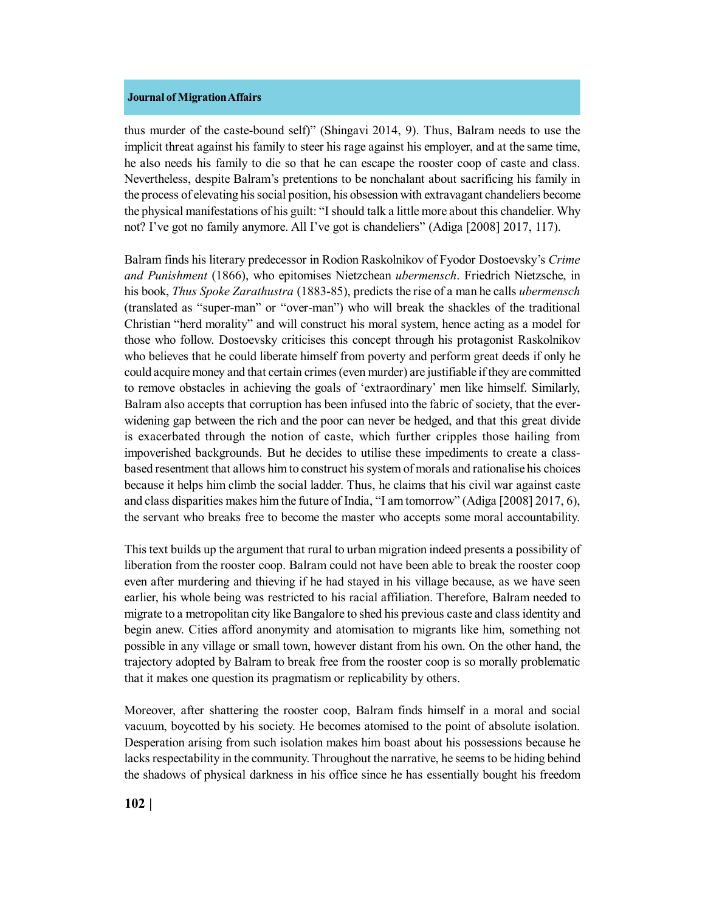thus murder of the caste-bound self)" (Shingavi 2014, 9). Thus, Balram needs to use the implicit threat against his family to steer his rage against his employer, and at the same time, he also needs his family to die so that he can escape the rooster coop of caste and class. Nevertheless, despite Balram's pretentions to be nonchalant about sacrificing his family in the process of elevating his social position, his obsession with extravagant chandeliers become the physical manifestations of his guilt: "I should talk a little more about this chandelier. Why not? I've got no family anymore. All I've got is chandeliers" (Adiga [2008] 2017, 117).

Balram finds his literary predecessor in Rodion Raskolnikov of Fyodor Dostoevsky's *Crime and Punishment* (1866), who epitomises Nietzchean *ubermensch*. Friedrich Nietzsche, in his book, *Thus Spoke Zarathustra* (1883-85), predicts the rise of a man he calls *ubermensch* (translated as "super-man" or "over-man") who will break the shackles of the traditional Christian "herd morality" and will construct his moral system, hence acting as a model for those who follow. Dostoevsky criticises this concept through his protagonist Raskolnikov who believes that he could liberate himself from poverty and perform great deeds if only he could acquire money and that certain crimes (even murder) are justifiable if they are committed to remove obstacles in achieving the goals of 'extraordinary' men like himself. Similarly, Balram also accepts that corruption has been infused into the fabric of society, that the everwidening gap between the rich and the poor can never be hedged, and that this great divide is exacerbated through the notion of caste, which further cripples those hailing from impoverished backgrounds. But he decides to utilise these impediments to create a classbased resentment that allows him to construct his system of morals and rationalise his choices because it helps him climb the social ladder. Thus, he claims that his civil war against caste and class disparities makes him the future of India, "I am tomorrow" (Adiga [2008] 2017, 6), the servant who breaks free to become the master who accepts some moral accountability.

This text builds up the argument that rural to urban migration indeed presents a possibility of liberation from the rooster coop. Balram could not have been able to break the rooster coop even after murdering and thieving if he had stayed in his village because, as we have seen earlier, his whole being was restricted to his racial affiliation. Therefore, Balram needed to migrate to a metropolitan city like Bangalore to shed his previous caste and class identity and begin anew. Cities afford anonymity and atomisation to migrants like him, something not possible in any village or small town, however distant from his own. On the other hand, the trajectory adopted by Balram to break free from the rooster coop is so morally problematic that it makes one question its pragmatism or replicability by others.

Moreover, after shattering the rooster coop, Balram finds himself in a moral and social vacuum, boycotted by his society. He becomes atomised to the point of absolute isolation. Desperation arising from such isolation makes him boast about his possessions because he lacks respectability in the community. Throughout the narrative, he seems to be hiding behind the shadows of physical darkness in his office since he has essentially bought his freedom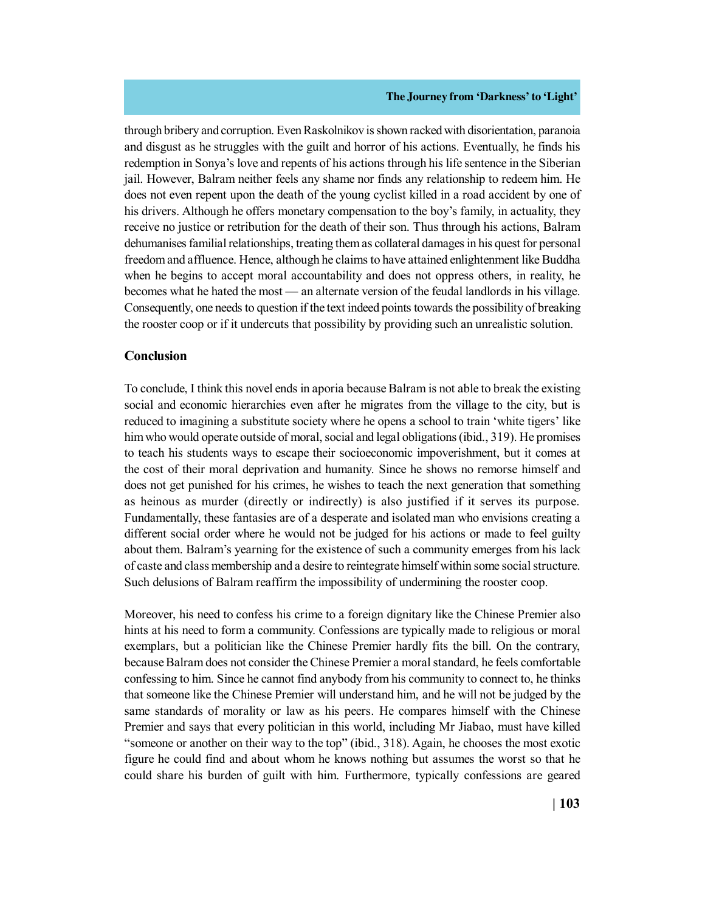through bribery and corruption. Even Raskolnikov is shown racked with disorientation, paranoia and disgust as he struggles with the guilt and horror of his actions. Eventually, he finds his redemption in Sonya's love and repents of his actions through his life sentence in the Siberian jail. However, Balram neither feels any shame nor finds any relationship to redeem him. He does not even repent upon the death of the young cyclist killed in a road accident by one of his drivers. Although he offers monetary compensation to the boy's family, in actuality, they receive no justice or retribution for the death of their son. Thus through his actions, Balram dehumanises familial relationships, treating them as collateral damages in his quest for personal freedom and affluence. Hence, although he claims to have attained enlightenment like Buddha when he begins to accept moral accountability and does not oppress others, in reality, he becomes what he hated the most — an alternate version of the feudal landlords in his village. Consequently, one needs to question if the text indeed points towards the possibility of breaking the rooster coop or if it undercuts that possibility by providing such an unrealistic solution.

## **Conclusion**

To conclude, I think this novel ends in aporia because Balram is not able to break the existing social and economic hierarchies even after he migrates from the village to the city, but is reduced to imagining a substitute society where he opens a school to train 'white tigers' like him who would operate outside of moral, social and legal obligations (ibid., 319). He promises to teach his students ways to escape their socioeconomic impoverishment, but it comes at the cost of their moral deprivation and humanity. Since he shows no remorse himself and does not get punished for his crimes, he wishes to teach the next generation that something as heinous as murder (directly or indirectly) is also justified if it serves its purpose. Fundamentally, these fantasies are of a desperate and isolated man who envisions creating a different social order where he would not be judged for his actions or made to feel guilty about them. Balram's yearning for the existence of such a community emerges from his lack of caste and class membership and a desire to reintegrate himself within some social structure. Such delusions of Balram reaffirm the impossibility of undermining the rooster coop.

Moreover, his need to confess his crime to a foreign dignitary like the Chinese Premier also hints at his need to form a community. Confessions are typically made to religious or moral exemplars, but a politician like the Chinese Premier hardly fits the bill. On the contrary, because Balram does not consider the Chinese Premier a moral standard, he feels comfortable confessing to him. Since he cannot find anybody from his community to connect to, he thinks that someone like the Chinese Premier will understand him, and he will not be judged by the same standards of morality or law as his peers. He compares himself with the Chinese Premier and says that every politician in this world, including Mr Jiabao, must have killed "someone or another on their way to the top" (ibid., 318). Again, he chooses the most exotic figure he could find and about whom he knows nothing but assumes the worst so that he could share his burden of guilt with him. Furthermore, typically confessions are geared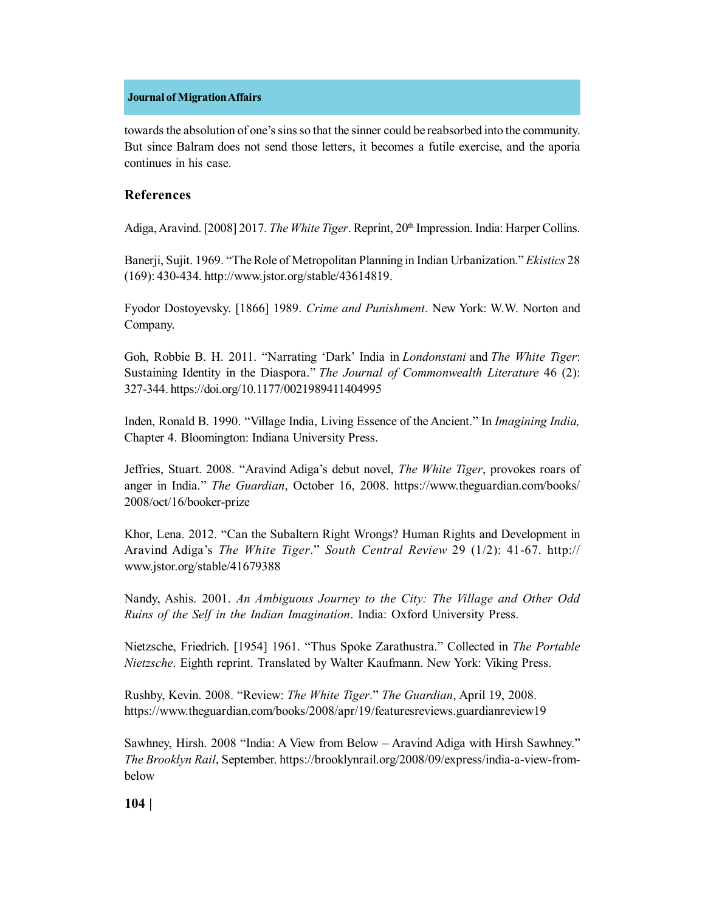towards the absolution of one's sins so that the sinner could be reabsorbed into the community. But since Balram does not send those letters, it becomes a futile exercise, and the aporia continues in his case.

## **References**

Adiga, Aravind. [2008] 2017. *The White Tiger*. Reprint, 20<sup>th</sup> Impression. India: Harper Collins.

Banerji, Sujit. 1969. "The Role of Metropolitan Planning in Indian Urbanization." *Ekistics* 28 (169): 430-434. http://www.jstor.org/stable/43614819.

Fyodor Dostoyevsky. [1866] 1989. *Crime and Punishment*. New York: W.W. Norton and Company.

Goh, Robbie B. H. 2011. "Narrating 'Dark' India in *Londonstani* and *The White Tiger*: Sustaining Identity in the Diaspora." *The Journal of Commonwealth Literature* 46 (2): 327-344. https://doi.org/10.1177/0021989411404995

Inden, Ronald B. 1990. "Village India, Living Essence of the Ancient." In *Imagining India,* Chapter 4. Bloomington: Indiana University Press.

Jeffries, Stuart. 2008. "Aravind Adiga's debut novel, *The White Tiger*, provokes roars of anger in India." *The Guardian*, October 16, 2008. https://www.theguardian.com/books/ 2008/oct/16/booker-prize

Khor, Lena. 2012. "Can the Subaltern Right Wrongs? Human Rights and Development in Aravind Adiga's *The White Tiger*." *South Central Review* 29 (1/2): 41-67. http:// www.jstor.org/stable/41679388

Nandy, Ashis. 2001. *An Ambiguous Journey to the City: The Village and Other Odd Ruins of the Self in the Indian Imagination*. India: Oxford University Press.

Nietzsche, Friedrich. [1954] 1961. "Thus Spoke Zarathustra." Collected in *The Portable Nietzsche*. Eighth reprint. Translated by Walter Kaufmann. New York: Viking Press.

Rushby, Kevin. 2008. "Review: *The White Tiger*." *The Guardian*, April 19, 2008. https://www.theguardian.com/books/2008/apr/19/featuresreviews.guardianreview19

Sawhney, Hirsh. 2008 "India: A View from Below – Aravind Adiga with Hirsh Sawhney." *The Brooklyn Rail*, September. https://brooklynrail.org/2008/09/express/india-a-view-frombelow

**104 |**